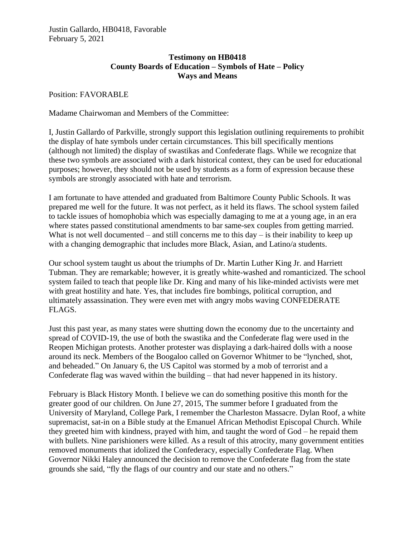## **Testimony on HB0418 County Boards of Education – Symbols of Hate – Policy Ways and Means**

Position: FAVORABLE

Madame Chairwoman and Members of the Committee:

I, Justin Gallardo of Parkville, strongly support this legislation outlining requirements to prohibit the display of hate symbols under certain circumstances. This bill specifically mentions (although not limited) the display of swastikas and Confederate flags. While we recognize that these two symbols are associated with a dark historical context, they can be used for educational purposes; however, they should not be used by students as a form of expression because these symbols are strongly associated with hate and terrorism.

I am fortunate to have attended and graduated from Baltimore County Public Schools. It was prepared me well for the future. It was not perfect, as it held its flaws. The school system failed to tackle issues of homophobia which was especially damaging to me at a young age, in an era where states passed constitutional amendments to bar same-sex couples from getting married. What is not well documented – and still concerns me to this  $day -$  is their inability to keep up with a changing demographic that includes more Black, Asian, and Latino/a students.

Our school system taught us about the triumphs of Dr. Martin Luther King Jr. and Harriett Tubman. They are remarkable; however, it is greatly white-washed and romanticized. The school system failed to teach that people like Dr. King and many of his like-minded activists were met with great hostility and hate. Yes, that includes fire bombings, political corruption, and ultimately assassination. They were even met with angry mobs waving CONFEDERATE FLAGS.

Just this past year, as many states were shutting down the economy due to the uncertainty and spread of COVID-19, the use of both the swastika and the Confederate flag were used in the Reopen Michigan protests. Another protester was displaying a dark-haired dolls with a noose around its neck. Members of the Boogaloo called on Governor Whitmer to be "lynched, shot, and beheaded." On January 6, the US Capitol was stormed by a mob of terrorist and a Confederate flag was waved within the building – that had never happened in its history.

February is Black History Month. I believe we can do something positive this month for the greater good of our children. On June 27, 2015, The summer before I graduated from the University of Maryland, College Park, I remember the Charleston Massacre. Dylan Roof, a white supremacist, sat-in on a Bible study at the Emanuel African Methodist Episcopal Church. While they greeted him with kindness, prayed with him, and taught the word of God – he repaid them with bullets. Nine parishioners were killed. As a result of this atrocity, many government entities removed monuments that idolized the Confederacy, especially Confederate Flag. When Governor Nikki Haley announced the decision to remove the Confederate flag from the state grounds she said, "fly the flags of our country and our state and no others."